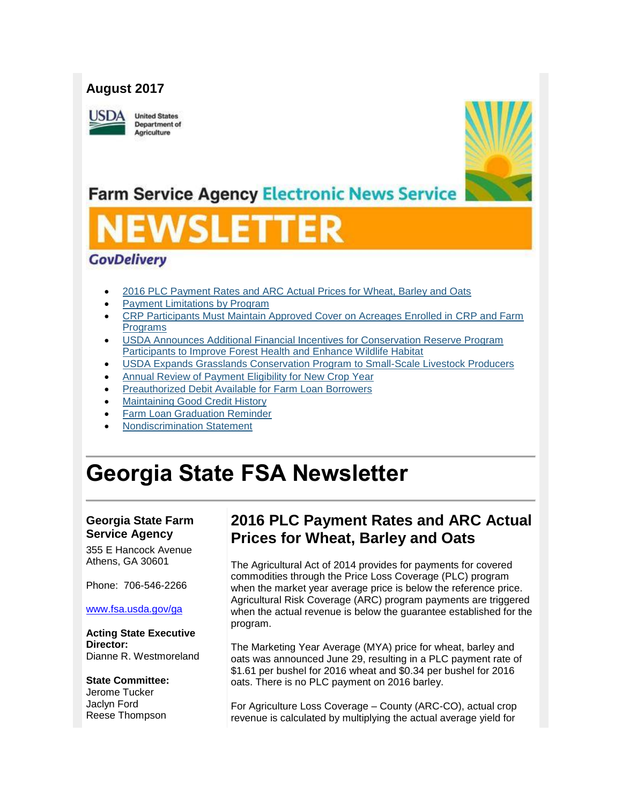### **August 2017**

USDA

**United States Department of** Agriculture



## **Farm Service Agency Electronic News Service**

### **GovDelivery**

- [2016 PLC Payment Rates and ARC Actual Prices for Wheat, Barley and Oats](#page-0-0)
- [Payment Limitations by Program](#page-1-0)
- [CRP Participants Must Maintain Approved Cover on Acreages Enrolled in CRP and Farm](#page-2-0)  [Programs](#page-2-0)
- [USDA Announces Additional Financial Incentives for Conservation Reserve Program](#page-2-1)  [Participants to Improve Forest Health and Enhance Wildlife Habitat](#page-2-1)
- USDA [Expands Grasslands Conservation Program to Small-Scale Livestock Producers](#page-3-0)
- [Annual Review of Payment Eligibility for New Crop Year](#page-3-1)
- [Preauthorized Debit Available for Farm Loan](#page-4-0) Borrowers
- [Maintaining Good Credit History](#page-5-0)
- [Farm Loan Graduation Reminder](#page-5-1)
- [Nondiscrimination Statement](#page-6-0)

# **Georgia State FSA Newsletter**

### **Georgia State Farm Service Agency**

355 E Hancock Avenue Athens, GA 30601

Phone: 706-546-2266

#### [www.fsa.usda.gov/ga](http://www.fsa.usda.gov/ga)

**Acting State Executive Director:** Dianne R. Westmoreland

#### **State Committee:**

Jerome Tucker Jaclyn Ford Reese Thompson

### <span id="page-0-0"></span>**2016 PLC Payment Rates and ARC Actual Prices for Wheat, Barley and Oats**

The Agricultural Act of 2014 provides for payments for covered commodities through the Price Loss Coverage (PLC) program when the market year average price is below the reference price. Agricultural Risk Coverage (ARC) program payments are triggered when the actual revenue is below the guarantee established for the program.

The Marketing Year Average (MYA) price for wheat, barley and oats was announced June 29, resulting in a PLC payment rate of \$1.61 per bushel for 2016 wheat and \$0.34 per bushel for 2016 oats. There is no PLC payment on 2016 barley.

For Agriculture Loss Coverage – County (ARC-CO), actual crop revenue is calculated by multiplying the actual average yield for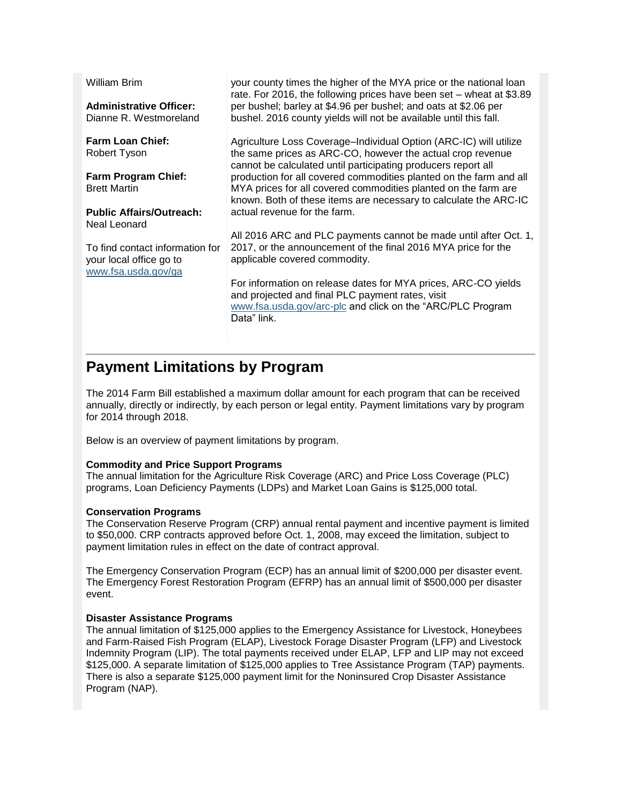| <b>William Brim</b><br><b>Administrative Officer:</b><br>Dianne R. Westmoreland   | your county times the higher of the MYA price or the national loan<br>rate. For 2016, the following prices have been set - wheat at \$3.89<br>per bushel; barley at \$4.96 per bushel; and oats at \$2.06 per<br>bushel. 2016 county yields will not be available until this fall. |
|-----------------------------------------------------------------------------------|------------------------------------------------------------------------------------------------------------------------------------------------------------------------------------------------------------------------------------------------------------------------------------|
| <b>Farm Loan Chief:</b><br>Robert Tyson                                           | Agriculture Loss Coverage-Individual Option (ARC-IC) will utilize<br>the same prices as ARC-CO, however the actual crop revenue<br>cannot be calculated until participating producers report all                                                                                   |
| <b>Farm Program Chief:</b><br><b>Brett Martin</b>                                 | production for all covered commodities planted on the farm and all<br>MYA prices for all covered commodities planted on the farm are<br>known. Both of these items are necessary to calculate the ARC-IC                                                                           |
| <b>Public Affairs/Outreach:</b><br>Neal Leonard                                   | actual revenue for the farm.                                                                                                                                                                                                                                                       |
| To find contact information for<br>your local office go to<br>www.fsa.usda.gov/ga | All 2016 ARC and PLC payments cannot be made until after Oct. 1,<br>2017, or the announcement of the final 2016 MYA price for the<br>applicable covered commodity.                                                                                                                 |
|                                                                                   | For information on release dates for MYA prices, ARC-CO yields<br>and projected and final PLC payment rates, visit<br>www.fsa.usda.gov/arc-plc and click on the "ARC/PLC Program<br>Data" link.                                                                                    |

### <span id="page-1-0"></span>**Payment Limitations by Program**

The 2014 Farm Bill established a maximum dollar amount for each program that can be received annually, directly or indirectly, by each person or legal entity. Payment limitations vary by program for 2014 through 2018.

Below is an overview of payment limitations by program.

#### **Commodity and Price Support Programs**

The annual limitation for the Agriculture Risk Coverage (ARC) and Price Loss Coverage (PLC) programs, Loan Deficiency Payments (LDPs) and Market Loan Gains is \$125,000 total.

#### **Conservation Programs**

The Conservation Reserve Program (CRP) annual rental payment and incentive payment is limited to \$50,000. CRP contracts approved before Oct. 1, 2008, may exceed the limitation, subject to payment limitation rules in effect on the date of contract approval.

The Emergency Conservation Program (ECP) has an annual limit of \$200,000 per disaster event. The Emergency Forest Restoration Program (EFRP) has an annual limit of \$500,000 per disaster event.

#### **Disaster Assistance Programs**

The annual limitation of \$125,000 applies to the Emergency Assistance for Livestock, Honeybees and Farm-Raised Fish Program (ELAP), Livestock Forage Disaster Program (LFP) and Livestock Indemnity Program (LIP). The total payments received under ELAP, LFP and LIP may not exceed \$125,000. A separate limitation of \$125,000 applies to Tree Assistance Program (TAP) payments. There is also a separate \$125,000 payment limit for the Noninsured Crop Disaster Assistance Program (NAP).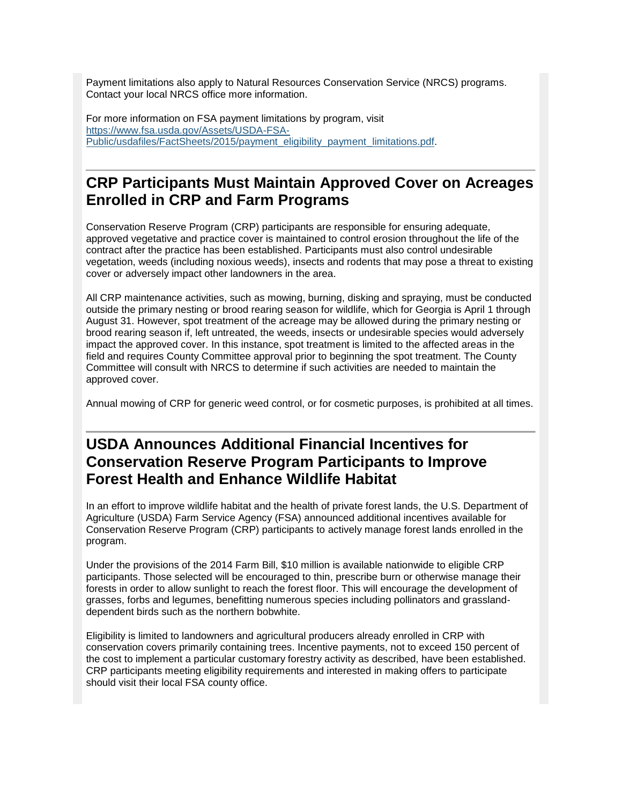Payment limitations also apply to Natural Resources Conservation Service (NRCS) programs. Contact your local NRCS office more information.

For more information on FSA payment limitations by program, visit [https://www.fsa.usda.gov/Assets/USDA-FSA-](https://www.fsa.usda.gov/Assets/USDA-FSA-Public/usdafiles/FactSheets/2015/payment_eligibility_payment_limitations.pdf)[Public/usdafiles/FactSheets/2015/payment\\_eligibility\\_payment\\_limitations.pdf.](https://www.fsa.usda.gov/Assets/USDA-FSA-Public/usdafiles/FactSheets/2015/payment_eligibility_payment_limitations.pdf)

### <span id="page-2-0"></span>**CRP Participants Must Maintain Approved Cover on Acreages Enrolled in CRP and Farm Programs**

Conservation Reserve Program (CRP) participants are responsible for ensuring adequate, approved vegetative and practice cover is maintained to control erosion throughout the life of the contract after the practice has been established. Participants must also control undesirable vegetation, weeds (including noxious weeds), insects and rodents that may pose a threat to existing cover or adversely impact other landowners in the area.

All CRP maintenance activities, such as mowing, burning, disking and spraying, must be conducted outside the primary nesting or brood rearing season for wildlife, which for Georgia is April 1 through August 31. However, spot treatment of the acreage may be allowed during the primary nesting or brood rearing season if, left untreated, the weeds, insects or undesirable species would adversely impact the approved cover. In this instance, spot treatment is limited to the affected areas in the field and requires County Committee approval prior to beginning the spot treatment. The County Committee will consult with NRCS to determine if such activities are needed to maintain the approved cover.

Annual mowing of CRP for generic weed control, or for cosmetic purposes, is prohibited at all times.

### <span id="page-2-1"></span>**USDA Announces Additional Financial Incentives for Conservation Reserve Program Participants to Improve Forest Health and Enhance Wildlife Habitat**

In an effort to improve wildlife habitat and the health of private forest lands, the U.S. Department of Agriculture (USDA) Farm Service Agency (FSA) announced additional incentives available for Conservation Reserve Program (CRP) participants to actively manage forest lands enrolled in the program.

Under the provisions of the 2014 Farm Bill, \$10 million is available nationwide to eligible CRP participants. Those selected will be encouraged to thin, prescribe burn or otherwise manage their forests in order to allow sunlight to reach the forest floor. This will encourage the development of grasses, forbs and legumes, benefitting numerous species including pollinators and grasslanddependent birds such as the northern bobwhite.

Eligibility is limited to landowners and agricultural producers already enrolled in CRP with conservation covers primarily containing trees. Incentive payments, not to exceed 150 percent of the cost to implement a particular customary forestry activity as described, have been established. CRP participants meeting eligibility requirements and interested in making offers to participate should visit their local FSA county office.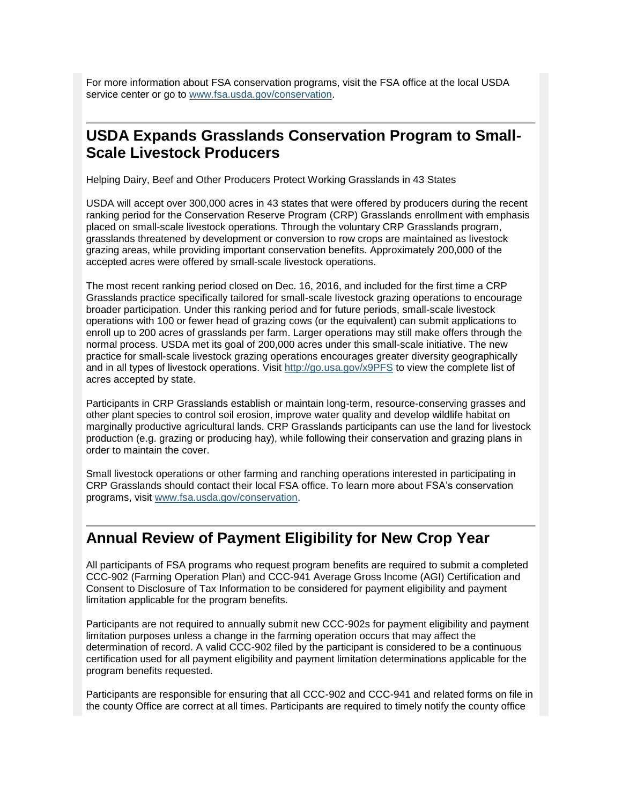For more information about FSA conservation programs, visit the FSA office at the local USDA service center or go to [www.fsa.usda.gov/conservation.](http://www.fsa.usda.gov/conservation)

### <span id="page-3-0"></span>**USDA Expands Grasslands Conservation Program to Small-Scale Livestock Producers**

Helping Dairy, Beef and Other Producers Protect Working Grasslands in 43 States

USDA will accept over 300,000 acres in 43 states that were offered by producers during the recent ranking period for the Conservation Reserve Program (CRP) Grasslands enrollment with emphasis placed on small-scale livestock operations. Through the voluntary CRP Grasslands program, grasslands threatened by development or conversion to row crops are maintained as livestock grazing areas, while providing important conservation benefits. Approximately 200,000 of the accepted acres were offered by small-scale livestock operations.

The most recent ranking period closed on Dec. 16, 2016, and included for the first time a CRP Grasslands practice specifically tailored for small-scale livestock grazing operations to encourage broader participation. Under this ranking period and for future periods, small-scale livestock operations with 100 or fewer head of grazing cows (or the equivalent) can submit applications to enroll up to 200 acres of grasslands per farm. Larger operations may still make offers through the normal process. USDA met its goal of 200,000 acres under this small-scale initiative. The new practice for small-scale livestock grazing operations encourages greater diversity geographically and in all types of livestock operations. Visit<http://go.usa.gov/x9PFS> to view the complete list of acres accepted by state.

Participants in CRP Grasslands establish or maintain long-term, resource-conserving grasses and other plant species to control soil erosion, improve water quality and develop wildlife habitat on marginally productive agricultural lands. CRP Grasslands participants can use the land for livestock production (e.g. grazing or producing hay), while following their conservation and grazing plans in order to maintain the cover.

Small livestock operations or other farming and ranching operations interested in participating in CRP Grasslands should contact their local FSA office. To learn more about FSA's conservation programs, visit [www.fsa.usda.gov/conservation.](http://www.fsa.usda.gov/conservation)

### <span id="page-3-1"></span>**Annual Review of Payment Eligibility for New Crop Year**

All participants of FSA programs who request program benefits are required to submit a completed CCC-902 (Farming Operation Plan) and CCC-941 Average Gross Income (AGI) Certification and Consent to Disclosure of Tax Information to be considered for payment eligibility and payment limitation applicable for the program benefits.

Participants are not required to annually submit new CCC-902s for payment eligibility and payment limitation purposes unless a change in the farming operation occurs that may affect the determination of record. A valid CCC-902 filed by the participant is considered to be a continuous certification used for all payment eligibility and payment limitation determinations applicable for the program benefits requested.

Participants are responsible for ensuring that all CCC-902 and CCC-941 and related forms on file in the county Office are correct at all times. Participants are required to timely notify the county office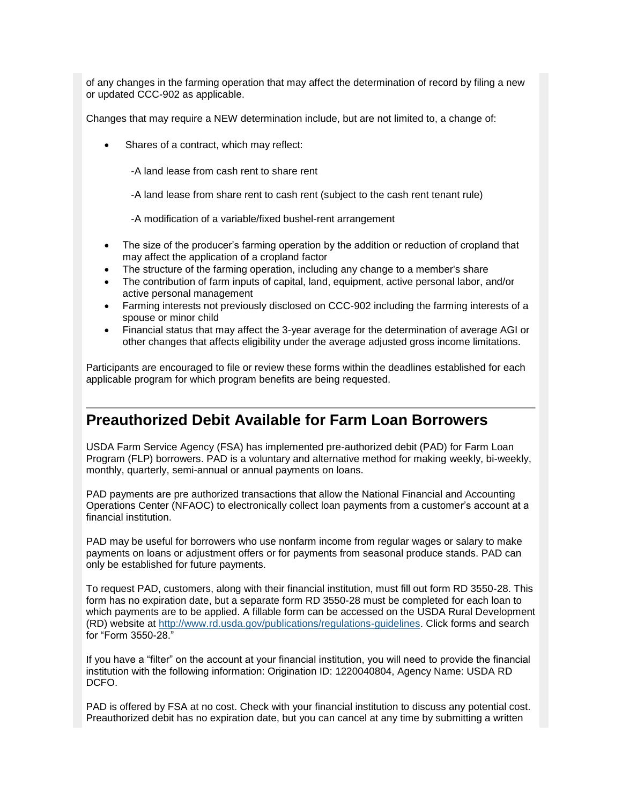of any changes in the farming operation that may affect the determination of record by filing a new or updated CCC-902 as applicable.

Changes that may require a NEW determination include, but are not limited to, a change of:

Shares of a contract, which may reflect:

-A land lease from cash rent to share rent

-A land lease from share rent to cash rent (subject to the cash rent tenant rule)

-A modification of a variable/fixed bushel-rent arrangement

- The size of the producer's farming operation by the addition or reduction of cropland that may affect the application of a cropland factor
- The structure of the farming operation, including any change to a member's share
- The contribution of farm inputs of capital, land, equipment, active personal labor, and/or active personal management
- Farming interests not previously disclosed on CCC-902 including the farming interests of a spouse or minor child
- Financial status that may affect the 3-year average for the determination of average AGI or other changes that affects eligibility under the average adjusted gross income limitations.

Participants are encouraged to file or review these forms within the deadlines established for each applicable program for which program benefits are being requested.

### <span id="page-4-0"></span>**Preauthorized Debit Available for Farm Loan Borrowers**

USDA Farm Service Agency (FSA) has implemented pre-authorized debit (PAD) for Farm Loan Program (FLP) borrowers. PAD is a voluntary and alternative method for making weekly, bi-weekly, monthly, quarterly, semi-annual or annual payments on loans.

PAD payments are pre authorized transactions that allow the National Financial and Accounting Operations Center (NFAOC) to electronically collect loan payments from a customer's account at a financial institution.

PAD may be useful for borrowers who use nonfarm income from regular wages or salary to make payments on loans or adjustment offers or for payments from seasonal produce stands. PAD can only be established for future payments.

To request PAD, customers, along with their financial institution, must fill out form RD 3550-28. This form has no expiration date, but a separate form RD 3550-28 must be completed for each loan to which payments are to be applied. A fillable form can be accessed on the USDA Rural Development (RD) website at [http://www.rd.usda.gov/publications/regulations-guidelines.](http://www.rd.usda.gov/publications/regulations-guidelines) Click forms and search for "Form 3550-28."

If you have a "filter" on the account at your financial institution, you will need to provide the financial institution with the following information: Origination ID: 1220040804, Agency Name: USDA RD DCFO.

PAD is offered by FSA at no cost. Check with your financial institution to discuss any potential cost. Preauthorized debit has no expiration date, but you can cancel at any time by submitting a written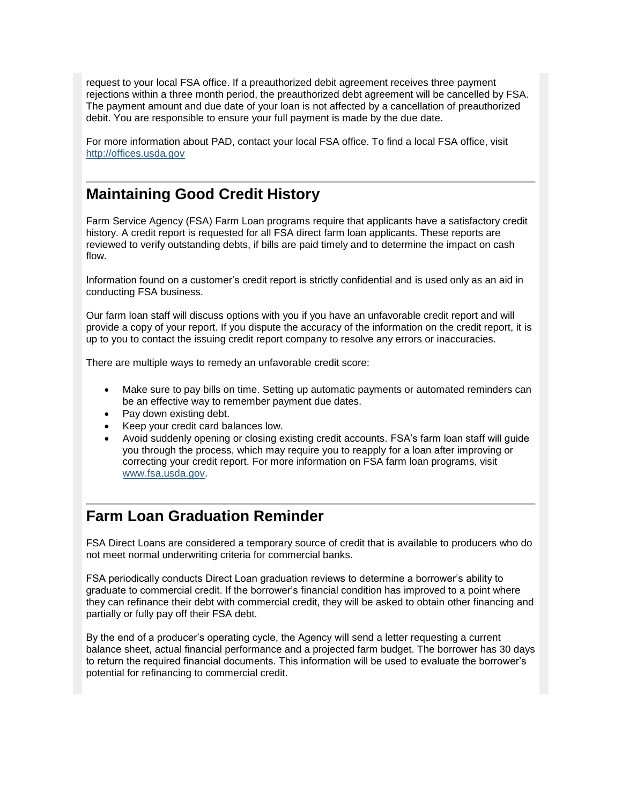request to your local FSA office. If a preauthorized debit agreement receives three payment rejections within a three month period, the preauthorized debt agreement will be cancelled by FSA. The payment amount and due date of your loan is not affected by a cancellation of preauthorized debit. You are responsible to ensure your full payment is made by the due date.

For more information about PAD, contact your local FSA office. To find a local FSA office, visit [http://offices.usda.gov](http://offices.sc.egov.usda.gov/locator/app)

### <span id="page-5-0"></span>**Maintaining Good Credit History**

Farm Service Agency (FSA) Farm Loan programs require that applicants have a satisfactory credit history. A credit report is requested for all FSA direct farm loan applicants. These reports are reviewed to verify outstanding debts, if bills are paid timely and to determine the impact on cash flow.

Information found on a customer's credit report is strictly confidential and is used only as an aid in conducting FSA business.

Our farm loan staff will discuss options with you if you have an unfavorable credit report and will provide a copy of your report. If you dispute the accuracy of the information on the credit report, it is up to you to contact the issuing credit report company to resolve any errors or inaccuracies.

There are multiple ways to remedy an unfavorable credit score:

- Make sure to pay bills on time. Setting up automatic payments or automated reminders can be an effective way to remember payment due dates.
- Pay down existing debt.
- Keep your credit card balances low.
- Avoid suddenly opening or closing existing credit accounts. FSA's farm loan staff will guide you through the process, which may require you to reapply for a loan after improving or correcting your credit report. For more information on FSA farm loan programs, visit [www.fsa.usda.gov.](http://www.fsa.usda.gov/)

### <span id="page-5-1"></span>**Farm Loan Graduation Reminder**

FSA Direct Loans are considered a temporary source of credit that is available to producers who do not meet normal underwriting criteria for commercial banks.

FSA periodically conducts Direct Loan graduation reviews to determine a borrower's ability to graduate to commercial credit. If the borrower's financial condition has improved to a point where they can refinance their debt with commercial credit, they will be asked to obtain other financing and partially or fully pay off their FSA debt.

By the end of a producer's operating cycle, the Agency will send a letter requesting a current balance sheet, actual financial performance and a projected farm budget. The borrower has 30 days to return the required financial documents. This information will be used to evaluate the borrower's potential for refinancing to commercial credit.